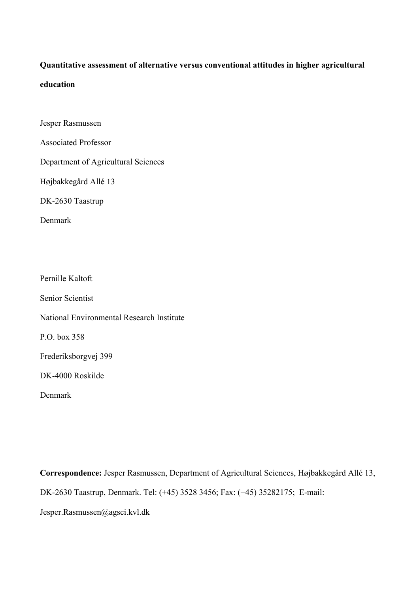# **Quantitative assessment of alternative versus conventional attitudes in higher agricultural education**

Jesper Rasmussen

Associated Professor

Department of Agricultural Sciences

Højbakkegård Allé 13

DK-2630 Taastrup

Denmark

Pernille Kaltoft

Senior Scientist

National Environmental Research Institute

P.O. box 358

Frederiksborgvej 399

DK-4000 Roskilde

Denmark

**Correspondence:** Jesper Rasmussen, Department of Agricultural Sciences, Højbakkegård Allé 13, DK-2630 Taastrup, Denmark. Tel: (+45) 3528 3456; Fax: (+45) 35282175; E-mail:

Jesper.Rasmussen@agsci.kvl.dk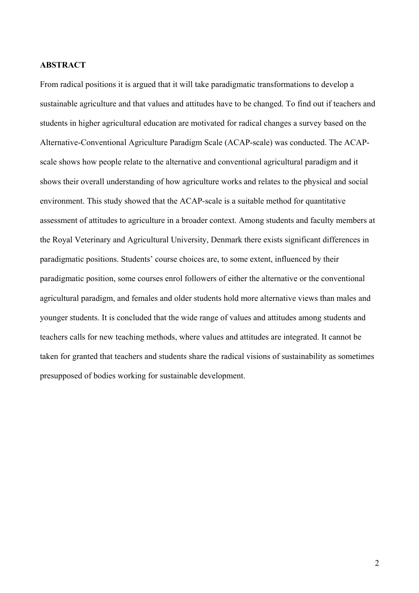#### **ABSTRACT**

From radical positions it is argued that it will take paradigmatic transformations to develop a sustainable agriculture and that values and attitudes have to be changed. To find out if teachers and students in higher agricultural education are motivated for radical changes a survey based on the Alternative-Conventional Agriculture Paradigm Scale (ACAP-scale) was conducted. The ACAPscale shows how people relate to the alternative and conventional agricultural paradigm and it shows their overall understanding of how agriculture works and relates to the physical and social environment. This study showed that the ACAP-scale is a suitable method for quantitative assessment of attitudes to agriculture in a broader context. Among students and faculty members at the Royal Veterinary and Agricultural University, Denmark there exists significant differences in paradigmatic positions. Students' course choices are, to some extent, influenced by their paradigmatic position, some courses enrol followers of either the alternative or the conventional agricultural paradigm, and females and older students hold more alternative views than males and younger students. It is concluded that the wide range of values and attitudes among students and teachers calls for new teaching methods, where values and attitudes are integrated. It cannot be taken for granted that teachers and students share the radical visions of sustainability as sometimes presupposed of bodies working for sustainable development.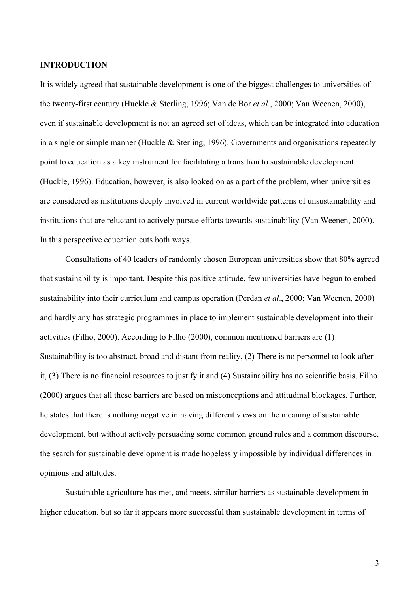#### **INTRODUCTION**

It is widely agreed that sustainable development is one of the biggest challenges to universities of the twenty-first century (Huckle & Sterling, 1996; Van de Bor *et al*., 2000; Van Weenen, 2000), even if sustainable development is not an agreed set of ideas, which can be integrated into education in a single or simple manner (Huckle & Sterling, 1996). Governments and organisations repeatedly point to education as a key instrument for facilitating a transition to sustainable development (Huckle, 1996). Education, however, is also looked on as a part of the problem, when universities are considered as institutions deeply involved in current worldwide patterns of unsustainability and institutions that are reluctant to actively pursue efforts towards sustainability (Van Weenen, 2000). In this perspective education cuts both ways.

 Consultations of 40 leaders of randomly chosen European universities show that 80% agreed that sustainability is important. Despite this positive attitude, few universities have begun to embed sustainability into their curriculum and campus operation (Perdan *et al*., 2000; Van Weenen, 2000) and hardly any has strategic programmes in place to implement sustainable development into their activities (Filho, 2000). According to Filho (2000), common mentioned barriers are (1) Sustainability is too abstract, broad and distant from reality, (2) There is no personnel to look after it, (3) There is no financial resources to justify it and (4) Sustainability has no scientific basis. Filho (2000) argues that all these barriers are based on misconceptions and attitudinal blockages. Further, he states that there is nothing negative in having different views on the meaning of sustainable development, but without actively persuading some common ground rules and a common discourse, the search for sustainable development is made hopelessly impossible by individual differences in opinions and attitudes.

 Sustainable agriculture has met, and meets, similar barriers as sustainable development in higher education, but so far it appears more successful than sustainable development in terms of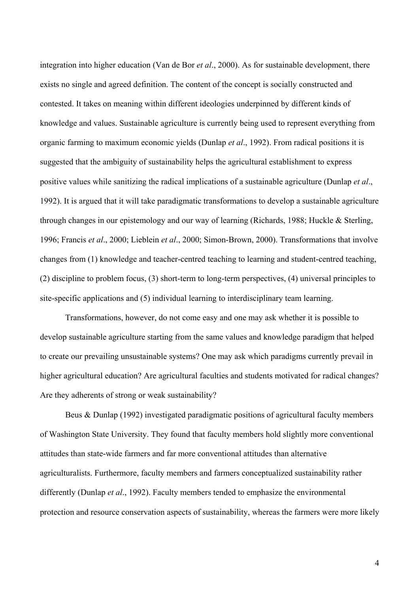integration into higher education (Van de Bor *et al*., 2000). As for sustainable development, there exists no single and agreed definition. The content of the concept is socially constructed and contested. It takes on meaning within different ideologies underpinned by different kinds of knowledge and values. Sustainable agriculture is currently being used to represent everything from organic farming to maximum economic yields (Dunlap *et al*., 1992). From radical positions it is suggested that the ambiguity of sustainability helps the agricultural establishment to express positive values while sanitizing the radical implications of a sustainable agriculture (Dunlap *et al*., 1992). It is argued that it will take paradigmatic transformations to develop a sustainable agriculture through changes in our epistemology and our way of learning (Richards, 1988; Huckle & Sterling, 1996; Francis *et al*., 2000; Lieblein *et al*., 2000; Simon-Brown, 2000). Transformations that involve changes from (1) knowledge and teacher-centred teaching to learning and student-centred teaching, (2) discipline to problem focus, (3) short-term to long-term perspectives, (4) universal principles to site-specific applications and (5) individual learning to interdisciplinary team learning.

 Transformations, however, do not come easy and one may ask whether it is possible to develop sustainable agriculture starting from the same values and knowledge paradigm that helped to create our prevailing unsustainable systems? One may ask which paradigms currently prevail in higher agricultural education? Are agricultural faculties and students motivated for radical changes? Are they adherents of strong or weak sustainability?

 Beus & Dunlap (1992) investigated paradigmatic positions of agricultural faculty members of Washington State University. They found that faculty members hold slightly more conventional attitudes than state-wide farmers and far more conventional attitudes than alternative agriculturalists. Furthermore, faculty members and farmers conceptualized sustainability rather differently (Dunlap *et al*., 1992). Faculty members tended to emphasize the environmental protection and resource conservation aspects of sustainability, whereas the farmers were more likely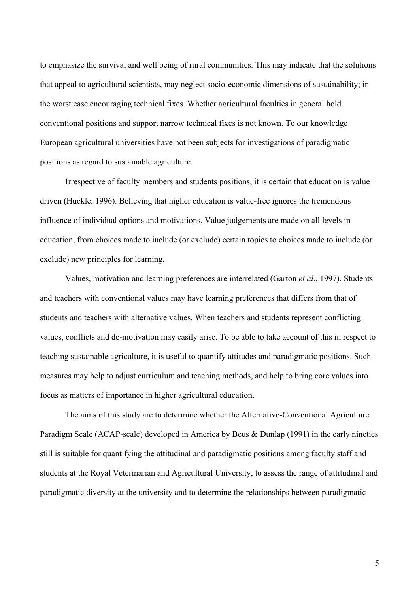to emphasize the survival and well being of rural communities. This may indicate that the solutions that appeal to agricultural scientists, may neglect socio-economic dimensions of sustainability; in the worst case encouraging technical fixes. Whether agricultural faculties in general hold conventional positions and support narrow technical fixes is not known. To our knowledge European agricultural universities have not been subjects for investigations of paradigmatic positions as regard to sustainable agriculture.

 Irrespective of faculty members and students positions, it is certain that education is value driven (Huckle, 1996). Believing that higher education is value-free ignores the tremendous influence of individual options and motivations. Value judgements are made on all levels in education, from choices made to include (or exclude) certain topics to choices made to include (or exclude) new principles for learning.

 Values, motivation and learning preferences are interrelated (Garton *et al*., 1997). Students and teachers with conventional values may have learning preferences that differs from that of students and teachers with alternative values. When teachers and students represent conflicting values, conflicts and de-motivation may easily arise. To be able to take account of this in respect to teaching sustainable agriculture, it is useful to quantify attitudes and paradigmatic positions. Such measures may help to adjust curriculum and teaching methods, and help to bring core values into focus as matters of importance in higher agricultural education.

 The aims of this study are to determine whether the Alternative-Conventional Agriculture Paradigm Scale (ACAP-scale) developed in America by Beus & Dunlap (1991) in the early nineties still is suitable for quantifying the attitudinal and paradigmatic positions among faculty staff and students at the Royal Veterinarian and Agricultural University, to assess the range of attitudinal and paradigmatic diversity at the university and to determine the relationships between paradigmatic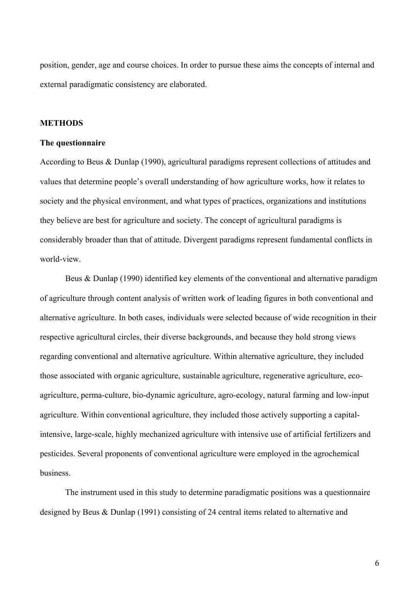position, gender, age and course choices. In order to pursue these aims the concepts of internal and external paradigmatic consistency are elaborated.

### **METHODS**

### **The questionnaire**

According to Beus & Dunlap (1990), agricultural paradigms represent collections of attitudes and values that determine people's overall understanding of how agriculture works, how it relates to society and the physical environment, and what types of practices, organizations and institutions they believe are best for agriculture and society. The concept of agricultural paradigms is considerably broader than that of attitude. Divergent paradigms represent fundamental conflicts in world-view.

 Beus & Dunlap (1990) identified key elements of the conventional and alternative paradigm of agriculture through content analysis of written work of leading figures in both conventional and alternative agriculture. In both cases, individuals were selected because of wide recognition in their respective agricultural circles, their diverse backgrounds, and because they hold strong views regarding conventional and alternative agriculture. Within alternative agriculture, they included those associated with organic agriculture, sustainable agriculture, regenerative agriculture, ecoagriculture, perma-culture, bio-dynamic agriculture, agro-ecology, natural farming and low-input agriculture. Within conventional agriculture, they included those actively supporting a capitalintensive, large-scale, highly mechanized agriculture with intensive use of artificial fertilizers and pesticides. Several proponents of conventional agriculture were employed in the agrochemical business.

 The instrument used in this study to determine paradigmatic positions was a questionnaire designed by Beus & Dunlap (1991) consisting of 24 central items related to alternative and

6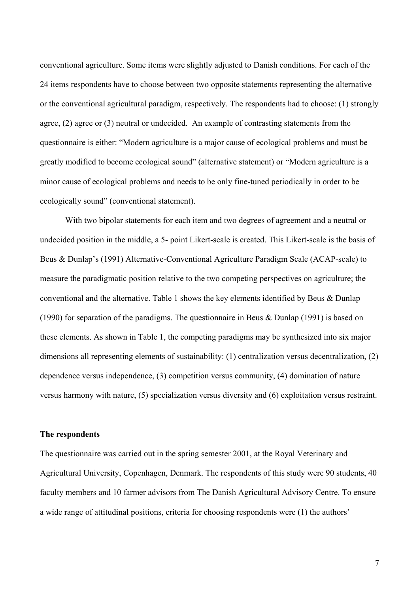conventional agriculture. Some items were slightly adjusted to Danish conditions. For each of the 24 items respondents have to choose between two opposite statements representing the alternative or the conventional agricultural paradigm, respectively. The respondents had to choose: (1) strongly agree, (2) agree or (3) neutral or undecided. An example of contrasting statements from the questionnaire is either: "Modern agriculture is a major cause of ecological problems and must be greatly modified to become ecological sound" (alternative statement) or "Modern agriculture is a minor cause of ecological problems and needs to be only fine-tuned periodically in order to be ecologically sound" (conventional statement).

With two bipolar statements for each item and two degrees of agreement and a neutral or undecided position in the middle, a 5- point Likert-scale is created. This Likert-scale is the basis of Beus & Dunlap's (1991) Alternative-Conventional Agriculture Paradigm Scale (ACAP-scale) to measure the paradigmatic position relative to the two competing perspectives on agriculture; the conventional and the alternative. Table 1 shows the key elements identified by Beus & Dunlap (1990) for separation of the paradigms. The questionnaire in Beus & Dunlap (1991) is based on these elements. As shown in Table 1, the competing paradigms may be synthesized into six major dimensions all representing elements of sustainability: (1) centralization versus decentralization, (2) dependence versus independence, (3) competition versus community, (4) domination of nature versus harmony with nature, (5) specialization versus diversity and (6) exploitation versus restraint.

#### **The respondents**

The questionnaire was carried out in the spring semester 2001, at the Royal Veterinary and Agricultural University, Copenhagen, Denmark. The respondents of this study were 90 students, 40 faculty members and 10 farmer advisors from The Danish Agricultural Advisory Centre. To ensure a wide range of attitudinal positions, criteria for choosing respondents were (1) the authors'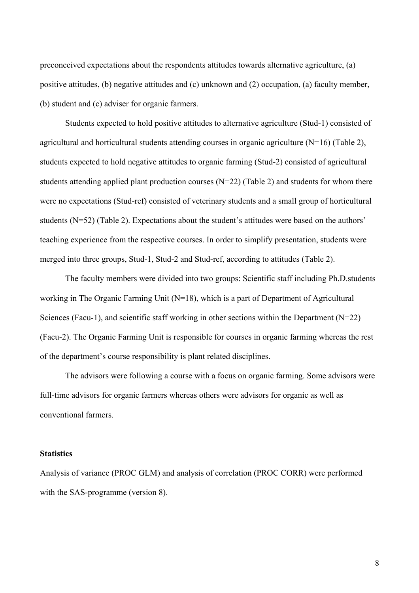preconceived expectations about the respondents attitudes towards alternative agriculture, (a) positive attitudes, (b) negative attitudes and (c) unknown and (2) occupation, (a) faculty member, (b) student and (c) adviser for organic farmers.

 Students expected to hold positive attitudes to alternative agriculture (Stud-1) consisted of agricultural and horticultural students attending courses in organic agriculture (N=16) (Table 2), students expected to hold negative attitudes to organic farming (Stud-2) consisted of agricultural students attending applied plant production courses (N=22) (Table 2) and students for whom there were no expectations (Stud-ref) consisted of veterinary students and a small group of horticultural students (N=52) (Table 2). Expectations about the student's attitudes were based on the authors' teaching experience from the respective courses. In order to simplify presentation, students were merged into three groups, Stud-1, Stud-2 and Stud-ref, according to attitudes (Table 2).

 The faculty members were divided into two groups: Scientific staff including Ph.D.students working in The Organic Farming Unit (N=18), which is a part of Department of Agricultural Sciences (Facu-1), and scientific staff working in other sections within the Department (N=22) (Facu-2). The Organic Farming Unit is responsible for courses in organic farming whereas the rest of the department's course responsibility is plant related disciplines.

 The advisors were following a course with a focus on organic farming. Some advisors were full-time advisors for organic farmers whereas others were advisors for organic as well as conventional farmers.

# **Statistics**

Analysis of variance (PROC GLM) and analysis of correlation (PROC CORR) were performed with the SAS-programme (version 8).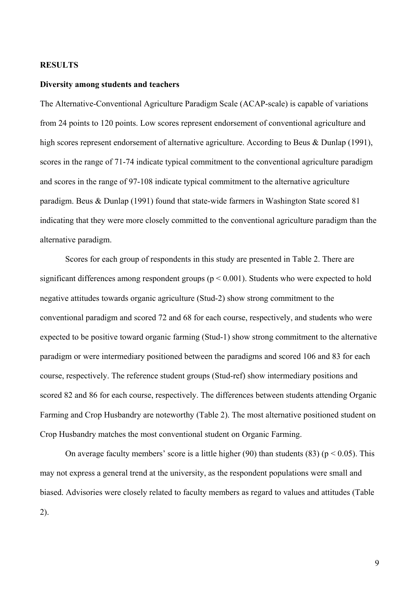#### **RESULTS**

### **Diversity among students and teachers**

The Alternative-Conventional Agriculture Paradigm Scale (ACAP-scale) is capable of variations from 24 points to 120 points. Low scores represent endorsement of conventional agriculture and high scores represent endorsement of alternative agriculture. According to Beus & Dunlap (1991), scores in the range of 71-74 indicate typical commitment to the conventional agriculture paradigm and scores in the range of 97-108 indicate typical commitment to the alternative agriculture paradigm. Beus & Dunlap (1991) found that state-wide farmers in Washington State scored 81 indicating that they were more closely committed to the conventional agriculture paradigm than the alternative paradigm.

 Scores for each group of respondents in this study are presented in Table 2. There are significant differences among respondent groups ( $p < 0.001$ ). Students who were expected to hold negative attitudes towards organic agriculture (Stud-2) show strong commitment to the conventional paradigm and scored 72 and 68 for each course, respectively, and students who were expected to be positive toward organic farming (Stud-1) show strong commitment to the alternative paradigm or were intermediary positioned between the paradigms and scored 106 and 83 for each course, respectively. The reference student groups (Stud-ref) show intermediary positions and scored 82 and 86 for each course, respectively. The differences between students attending Organic Farming and Crop Husbandry are noteworthy (Table 2). The most alternative positioned student on Crop Husbandry matches the most conventional student on Organic Farming.

On average faculty members' score is a little higher (90) than students (83) ( $p < 0.05$ ). This may not express a general trend at the university, as the respondent populations were small and biased. Advisories were closely related to faculty members as regard to values and attitudes (Table 2).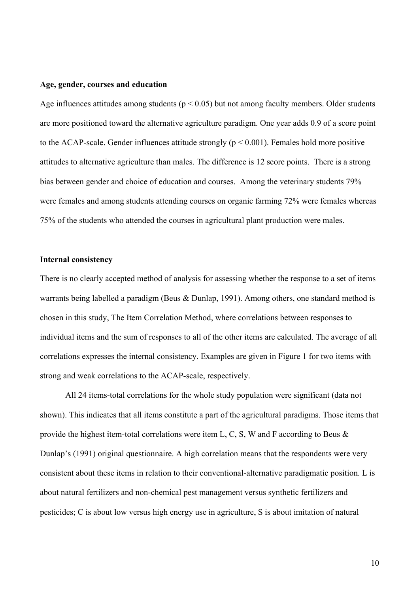#### **Age, gender, courses and education**

Age influences attitudes among students ( $p < 0.05$ ) but not among faculty members. Older students are more positioned toward the alternative agriculture paradigm. One year adds 0.9 of a score point to the ACAP-scale. Gender influences attitude strongly ( $p \le 0.001$ ). Females hold more positive attitudes to alternative agriculture than males. The difference is 12 score points. There is a strong bias between gender and choice of education and courses. Among the veterinary students 79% were females and among students attending courses on organic farming 72% were females whereas 75% of the students who attended the courses in agricultural plant production were males.

#### **Internal consistency**

There is no clearly accepted method of analysis for assessing whether the response to a set of items warrants being labelled a paradigm (Beus & Dunlap, 1991). Among others, one standard method is chosen in this study, The Item Correlation Method, where correlations between responses to individual items and the sum of responses to all of the other items are calculated. The average of all correlations expresses the internal consistency. Examples are given in Figure 1 for two items with strong and weak correlations to the ACAP-scale, respectively.

 All 24 items-total correlations for the whole study population were significant (data not shown). This indicates that all items constitute a part of the agricultural paradigms. Those items that provide the highest item-total correlations were item L, C, S, W and F according to Beus & Dunlap's (1991) original questionnaire. A high correlation means that the respondents were very consistent about these items in relation to their conventional-alternative paradigmatic position. L is about natural fertilizers and non-chemical pest management versus synthetic fertilizers and pesticides; C is about low versus high energy use in agriculture, S is about imitation of natural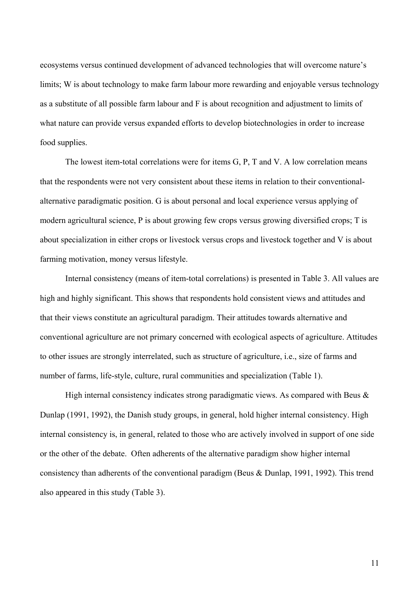ecosystems versus continued development of advanced technologies that will overcome nature's limits; W is about technology to make farm labour more rewarding and enjoyable versus technology as a substitute of all possible farm labour and F is about recognition and adjustment to limits of what nature can provide versus expanded efforts to develop biotechnologies in order to increase food supplies.

 The lowest item-total correlations were for items G, P, T and V. A low correlation means that the respondents were not very consistent about these items in relation to their conventionalalternative paradigmatic position. G is about personal and local experience versus applying of modern agricultural science, P is about growing few crops versus growing diversified crops; T is about specialization in either crops or livestock versus crops and livestock together and V is about farming motivation, money versus lifestyle.

 Internal consistency (means of item-total correlations) is presented in Table 3. All values are high and highly significant. This shows that respondents hold consistent views and attitudes and that their views constitute an agricultural paradigm. Their attitudes towards alternative and conventional agriculture are not primary concerned with ecological aspects of agriculture. Attitudes to other issues are strongly interrelated, such as structure of agriculture, i.e., size of farms and number of farms, life-style, culture, rural communities and specialization (Table 1).

High internal consistency indicates strong paradigmatic views. As compared with Beus  $\&$ Dunlap (1991, 1992), the Danish study groups, in general, hold higher internal consistency. High internal consistency is, in general, related to those who are actively involved in support of one side or the other of the debate. Often adherents of the alternative paradigm show higher internal consistency than adherents of the conventional paradigm (Beus & Dunlap, 1991, 1992). This trend also appeared in this study (Table 3).

11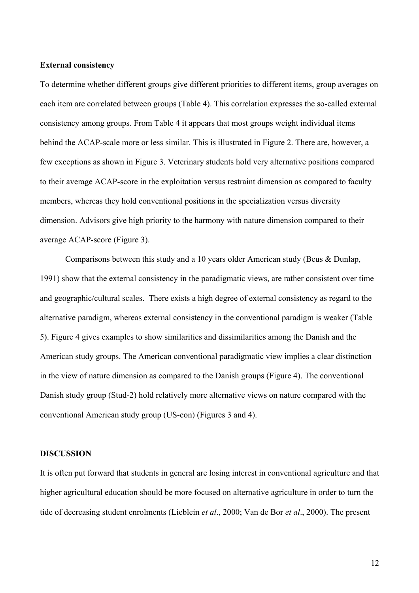### **External consistency**

To determine whether different groups give different priorities to different items, group averages on each item are correlated between groups (Table 4). This correlation expresses the so-called external consistency among groups. From Table 4 it appears that most groups weight individual items behind the ACAP-scale more or less similar. This is illustrated in Figure 2. There are, however, a few exceptions as shown in Figure 3. Veterinary students hold very alternative positions compared to their average ACAP-score in the exploitation versus restraint dimension as compared to faculty members, whereas they hold conventional positions in the specialization versus diversity dimension. Advisors give high priority to the harmony with nature dimension compared to their average ACAP-score (Figure 3).

 Comparisons between this study and a 10 years older American study (Beus & Dunlap, 1991) show that the external consistency in the paradigmatic views, are rather consistent over time and geographic/cultural scales. There exists a high degree of external consistency as regard to the alternative paradigm, whereas external consistency in the conventional paradigm is weaker (Table 5). Figure 4 gives examples to show similarities and dissimilarities among the Danish and the American study groups. The American conventional paradigmatic view implies a clear distinction in the view of nature dimension as compared to the Danish groups (Figure 4). The conventional Danish study group (Stud-2) hold relatively more alternative views on nature compared with the conventional American study group (US-con) (Figures 3 and 4).

# **DISCUSSION**

It is often put forward that students in general are losing interest in conventional agriculture and that higher agricultural education should be more focused on alternative agriculture in order to turn the tide of decreasing student enrolments (Lieblein *et al*., 2000; Van de Bor *et al*., 2000). The present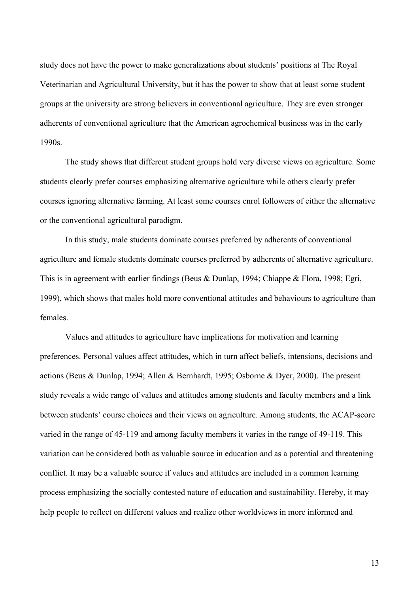study does not have the power to make generalizations about students' positions at The Royal Veterinarian and Agricultural University, but it has the power to show that at least some student groups at the university are strong believers in conventional agriculture. They are even stronger adherents of conventional agriculture that the American agrochemical business was in the early 1990s.

 The study shows that different student groups hold very diverse views on agriculture. Some students clearly prefer courses emphasizing alternative agriculture while others clearly prefer courses ignoring alternative farming. At least some courses enrol followers of either the alternative or the conventional agricultural paradigm.

 In this study, male students dominate courses preferred by adherents of conventional agriculture and female students dominate courses preferred by adherents of alternative agriculture. This is in agreement with earlier findings (Beus & Dunlap, 1994; Chiappe & Flora, 1998; Egri, 1999), which shows that males hold more conventional attitudes and behaviours to agriculture than females.

 Values and attitudes to agriculture have implications for motivation and learning preferences. Personal values affect attitudes, which in turn affect beliefs, intensions, decisions and actions (Beus & Dunlap, 1994; Allen & Bernhardt, 1995; Osborne & Dyer, 2000). The present study reveals a wide range of values and attitudes among students and faculty members and a link between students' course choices and their views on agriculture. Among students, the ACAP-score varied in the range of 45-119 and among faculty members it varies in the range of 49-119. This variation can be considered both as valuable source in education and as a potential and threatening conflict. It may be a valuable source if values and attitudes are included in a common learning process emphasizing the socially contested nature of education and sustainability. Hereby, it may help people to reflect on different values and realize other worldviews in more informed and

13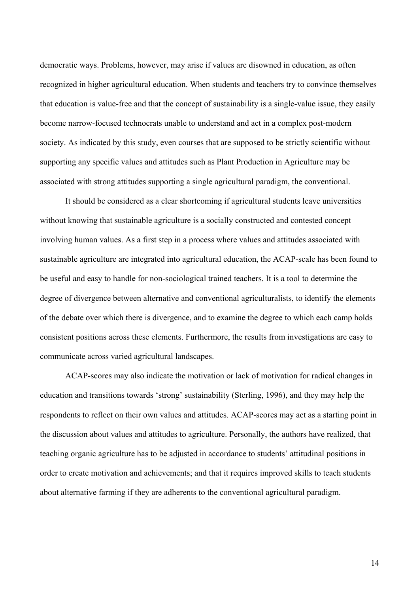democratic ways. Problems, however, may arise if values are disowned in education, as often recognized in higher agricultural education. When students and teachers try to convince themselves that education is value-free and that the concept of sustainability is a single-value issue, they easily become narrow-focused technocrats unable to understand and act in a complex post-modern society. As indicated by this study, even courses that are supposed to be strictly scientific without supporting any specific values and attitudes such as Plant Production in Agriculture may be associated with strong attitudes supporting a single agricultural paradigm, the conventional.

 It should be considered as a clear shortcoming if agricultural students leave universities without knowing that sustainable agriculture is a socially constructed and contested concept involving human values. As a first step in a process where values and attitudes associated with sustainable agriculture are integrated into agricultural education, the ACAP-scale has been found to be useful and easy to handle for non-sociological trained teachers. It is a tool to determine the degree of divergence between alternative and conventional agriculturalists, to identify the elements of the debate over which there is divergence, and to examine the degree to which each camp holds consistent positions across these elements. Furthermore, the results from investigations are easy to communicate across varied agricultural landscapes.

 ACAP-scores may also indicate the motivation or lack of motivation for radical changes in education and transitions towards 'strong' sustainability (Sterling, 1996), and they may help the respondents to reflect on their own values and attitudes. ACAP-scores may act as a starting point in the discussion about values and attitudes to agriculture. Personally, the authors have realized, that teaching organic agriculture has to be adjusted in accordance to students' attitudinal positions in order to create motivation and achievements; and that it requires improved skills to teach students about alternative farming if they are adherents to the conventional agricultural paradigm.

14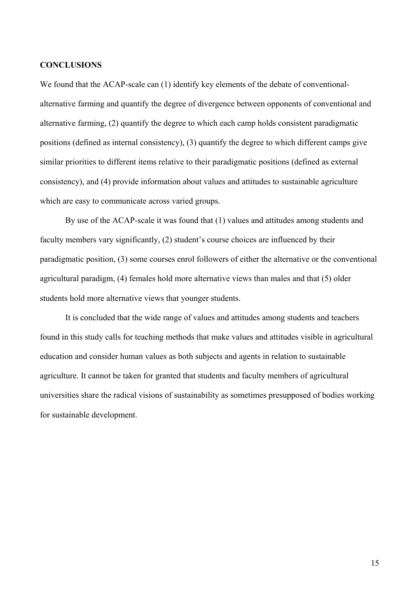#### **CONCLUSIONS**

We found that the ACAP-scale can (1) identify key elements of the debate of conventionalalternative farming and quantify the degree of divergence between opponents of conventional and alternative farming, (2) quantify the degree to which each camp holds consistent paradigmatic positions (defined as internal consistency), (3) quantify the degree to which different camps give similar priorities to different items relative to their paradigmatic positions (defined as external consistency), and (4) provide information about values and attitudes to sustainable agriculture which are easy to communicate across varied groups.

 By use of the ACAP-scale it was found that (1) values and attitudes among students and faculty members vary significantly, (2) student's course choices are influenced by their paradigmatic position, (3) some courses enrol followers of either the alternative or the conventional agricultural paradigm, (4) females hold more alternative views than males and that (5) older students hold more alternative views that younger students.

 It is concluded that the wide range of values and attitudes among students and teachers found in this study calls for teaching methods that make values and attitudes visible in agricultural education and consider human values as both subjects and agents in relation to sustainable agriculture. It cannot be taken for granted that students and faculty members of agricultural universities share the radical visions of sustainability as sometimes presupposed of bodies working for sustainable development.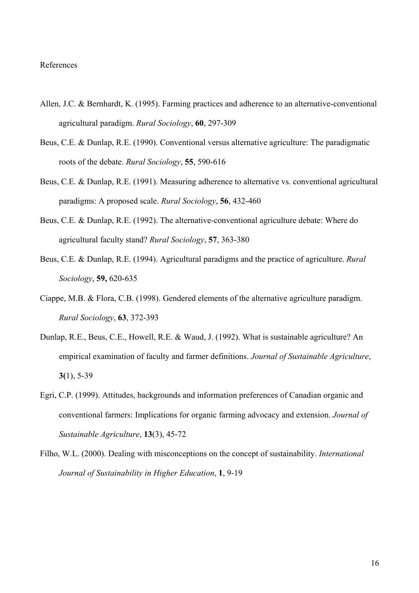#### References

- Allen, J.C. & Bernhardt, K. (1995). Farming practices and adherence to an alternative-conventional agricultural paradigm. *Rural Sociology*, **60**, 297-309
- Beus, C.E. & Dunlap, R.E. (1990). Conventional versus alternative agriculture: The paradigmatic roots of the debate. *Rural Sociology*, **55**, 590-616
- Beus, C.E. & Dunlap, R.E. (1991). Measuring adherence to alternative vs. conventional agricultural paradigms: A proposed scale. *Rural Sociology*, **56**, 432-460
- Beus, C.E. & Dunlap, R.E. (1992). The alternative-conventional agriculture debate: Where do agricultural faculty stand? *Rural Sociology*, **57**, 363-380
- Beus, C.E. & Dunlap, R.E. (1994). Agricultural paradigms and the practice of agriculture. *Rural Sociology*, **59,** 620-635
- Ciappe, M.B. & Flora, C.B. (1998). Gendered elements of the alternative agriculture paradigm. *Rural Sociology*, **63**, 372-393
- Dunlap, R.E., Beus, C.E., Howell, R.E. & Waud, J. (1992). What is sustainable agriculture? An empirical examination of faculty and farmer definitions. *Journal of Sustainable Agriculture*, **3(**1), 5-39
- Egri, C.P. (1999). Attitudes, backgrounds and information preferences of Canadian organic and conventional farmers: Implications for organic farming advocacy and extension. *Journal of Sustainable Agriculture*, **13**(3), 45-72
- Filho, W.L. (2000). Dealing with misconceptions on the concept of sustainability. *International Journal of Sustainability in Higher Education*, **1**, 9-19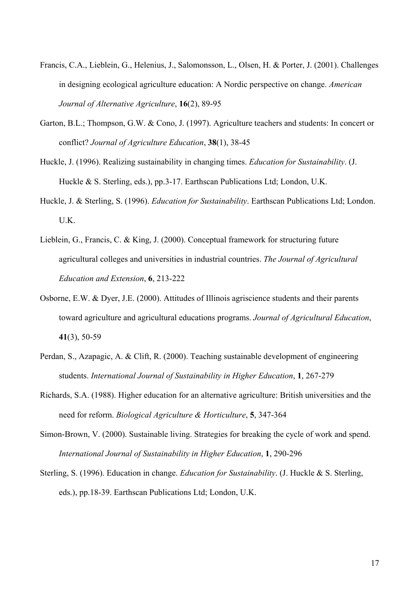- Francis, C.A., Lieblein, G., Helenius, J., Salomonsson, L., Olsen, H. & Porter, J. (2001). Challenges in designing ecological agriculture education: A Nordic perspective on change. *American Journal of Alternative Agriculture*, **16**(2), 89-95
- Garton, B.L.; Thompson, G.W. & Cono, J. (1997). Agriculture teachers and students: In concert or conflict? *Journal of Agriculture Education*, **38**(1), 38-45
- Huckle, J. (1996). Realizing sustainability in changing times. *Education for Sustainability*. (J. Huckle & S. Sterling, eds.), pp.3-17. Earthscan Publications Ltd; London, U.K.
- Huckle, J. & Sterling, S. (1996). *Education for Sustainability*. Earthscan Publications Ltd; London. U.K.
- Lieblein, G., Francis, C. & King, J. (2000). Conceptual framework for structuring future agricultural colleges and universities in industrial countries. *The Journal of Agricultural Education and Extension*, **6**, 213-222
- Osborne, E.W. & Dyer, J.E. (2000). Attitudes of Illinois agriscience students and their parents toward agriculture and agricultural educations programs. *Journal of Agricultural Education*, **41**(3), 50-59
- Perdan, S., Azapagic, A. & Clift, R. (2000). Teaching sustainable development of engineering students. *International Journal of Sustainability in Higher Education*, **1**, 267-279
- Richards, S.A. (1988). Higher education for an alternative agriculture: British universities and the need for reform. *Biological Agriculture & Horticulture*, **5**, 347-364
- Simon-Brown, V. (2000). Sustainable living. Strategies for breaking the cycle of work and spend. *International Journal of Sustainability in Higher Education*, **1**, 290-296
- Sterling, S. (1996). Education in change. *Education for Sustainability*. (J. Huckle & S. Sterling, eds.), pp.18-39. Earthscan Publications Ltd; London, U.K.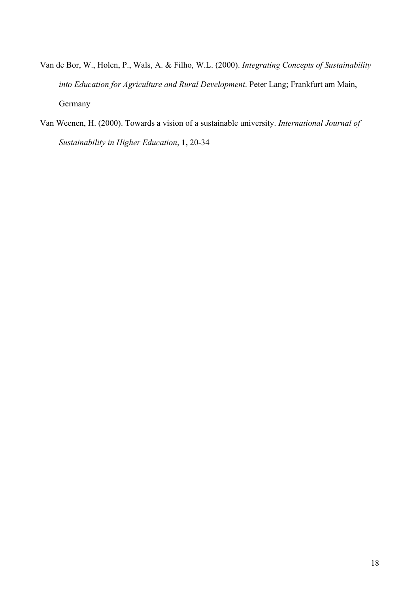- Van de Bor, W., Holen, P., Wals, A. & Filho, W.L. (2000). *Integrating Concepts of Sustainability into Education for Agriculture and Rural Development*. Peter Lang; Frankfurt am Main, Germany
- Van Weenen, H. (2000). Towards a vision of a sustainable university. *International Journal of Sustainability in Higher Education*, **1,** 20-34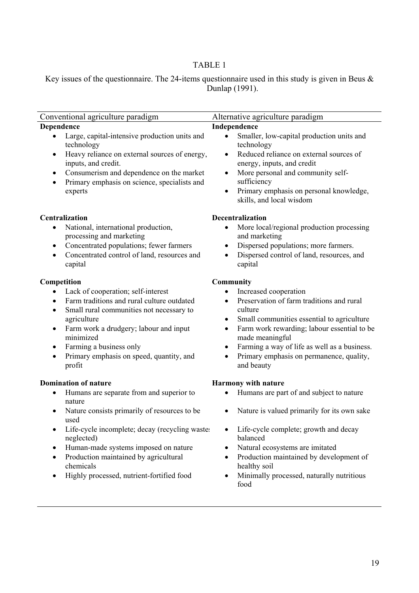# TABLE 1

Key issues of the questionnaire. The 24-items questionnaire used in this study is given in Beus  $\&$ Dunlap (1991).

| Conventional agriculture paradigm                                                                                                                                                                                                                                                                                                                                | Alternative agriculture paradigm                                                                                                                                                                                                                                                                                                                                        |  |  |  |
|------------------------------------------------------------------------------------------------------------------------------------------------------------------------------------------------------------------------------------------------------------------------------------------------------------------------------------------------------------------|-------------------------------------------------------------------------------------------------------------------------------------------------------------------------------------------------------------------------------------------------------------------------------------------------------------------------------------------------------------------------|--|--|--|
| <b>Dependence</b>                                                                                                                                                                                                                                                                                                                                                | Independence                                                                                                                                                                                                                                                                                                                                                            |  |  |  |
| Large, capital-intensive production units and<br>technology<br>Heavy reliance on external sources of energy,<br>$\bullet$<br>inputs, and credit.<br>Consumerism and dependence on the market<br>$\bullet$<br>Primary emphasis on science, specialists and<br>$\bullet$<br>experts                                                                                | Smaller, low-capital production units and<br>$\bullet$<br>technology<br>Reduced reliance on external sources of<br>$\bullet$<br>energy, inputs, and credit<br>More personal and community self-<br>$\bullet$<br>sufficiency<br>Primary emphasis on personal knowledge,<br>$\bullet$<br>skills, and local wisdom                                                         |  |  |  |
| <b>Centralization</b><br>National, international production,<br>٠<br>processing and marketing<br>Concentrated populations; fewer farmers<br>$\bullet$<br>Concentrated control of land, resources and<br>$\bullet$<br>capital                                                                                                                                     | <b>Decentralization</b><br>More local/regional production processing<br>and marketing<br>Dispersed populations; more farmers.<br>$\bullet$<br>Dispersed control of land, resources, and<br>capital                                                                                                                                                                      |  |  |  |
|                                                                                                                                                                                                                                                                                                                                                                  |                                                                                                                                                                                                                                                                                                                                                                         |  |  |  |
| Competition<br>Lack of cooperation; self-interest<br>$\bullet$<br>Farm traditions and rural culture outdated<br>$\bullet$<br>Small rural communities not necessary to<br>$\bullet$<br>agriculture<br>Farm work a drudgery; labour and input<br>٠<br>minimized<br>Farming a business only<br>$\bullet$<br>Primary emphasis on speed, quantity, and<br>٠<br>profit | <b>Community</b><br>Increased cooperation<br>Preservation of farm traditions and rural<br>$\bullet$<br>culture<br>Small communities essential to agriculture<br>Farm work rewarding; labour essential to be<br>٠<br>made meaningful<br>Farming a way of life as well as a business.<br>$\bullet$<br>Primary emphasis on permanence, quality,<br>$\bullet$<br>and beauty |  |  |  |
| <b>Domination of nature</b>                                                                                                                                                                                                                                                                                                                                      | <b>Harmony with nature</b>                                                                                                                                                                                                                                                                                                                                              |  |  |  |
| Humans are separate from and superior to<br>$\bullet$<br>nature                                                                                                                                                                                                                                                                                                  | Humans are part of and subject to nature                                                                                                                                                                                                                                                                                                                                |  |  |  |
| Nature consists primarily of resources to be<br>used                                                                                                                                                                                                                                                                                                             | Nature is valued primarily for its own sake                                                                                                                                                                                                                                                                                                                             |  |  |  |
| Life-cycle incomplete; decay (recycling wastes<br>٠<br>neglected)<br>Human-made systems imposed on nature<br>$\bullet$<br>Production maintained by agricultural<br>$\bullet$<br>chemicals<br>Highly processed, nutrient-fortified food                                                                                                                           | Life-cycle complete; growth and decay<br>balanced<br>Natural ecosystems are imitated<br>$\bullet$<br>Production maintained by development of<br>$\bullet$<br>healthy soil<br>Minimally processed, naturally nutritious<br>$\bullet$<br>food                                                                                                                             |  |  |  |
|                                                                                                                                                                                                                                                                                                                                                                  |                                                                                                                                                                                                                                                                                                                                                                         |  |  |  |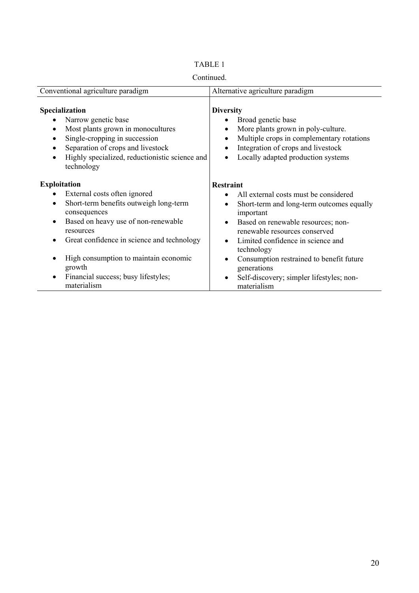| Continued.                                                                                                                                                                                                                                                                  |                                                                                                                                                                                                       |  |  |  |
|-----------------------------------------------------------------------------------------------------------------------------------------------------------------------------------------------------------------------------------------------------------------------------|-------------------------------------------------------------------------------------------------------------------------------------------------------------------------------------------------------|--|--|--|
| Conventional agriculture paradigm                                                                                                                                                                                                                                           | Alternative agriculture paradigm                                                                                                                                                                      |  |  |  |
| <b>Specialization</b><br>Narrow genetic base<br>Most plants grown in monocultures<br>$\bullet$<br>Single-cropping in succession<br>$\bullet$<br>Separation of crops and livestock<br>$\bullet$<br>Highly specialized, reductionistic science and<br>$\bullet$<br>technology | <b>Diversity</b><br>Broad genetic base<br>More plants grown in poly-culture.<br>Multiple crops in complementary rotations<br>Integration of crops and livestock<br>Locally adapted production systems |  |  |  |
| <b>Exploitation</b>                                                                                                                                                                                                                                                         | <b>Restraint</b>                                                                                                                                                                                      |  |  |  |
| External costs often ignored<br>$\bullet$<br>Short-term benefits outweigh long-term<br>$\bullet$<br>consequences                                                                                                                                                            | All external costs must be considered<br>Short-term and long-term outcomes equally<br>important                                                                                                       |  |  |  |
| Based on heavy use of non-renewable<br>$\bullet$<br>resources                                                                                                                                                                                                               | Based on renewable resources; non-<br>renewable resources conserved                                                                                                                                   |  |  |  |
| Great confidence in science and technology<br>$\bullet$                                                                                                                                                                                                                     | Limited confidence in science and<br>technology                                                                                                                                                       |  |  |  |
| High consumption to maintain economic<br>$\bullet$<br>growth                                                                                                                                                                                                                | Consumption restrained to benefit future<br>generations                                                                                                                                               |  |  |  |

• Self-discovery; simpler lifestyles; non-

materialism

• Financial success; busy lifestyles;

materialism

# TABLE 1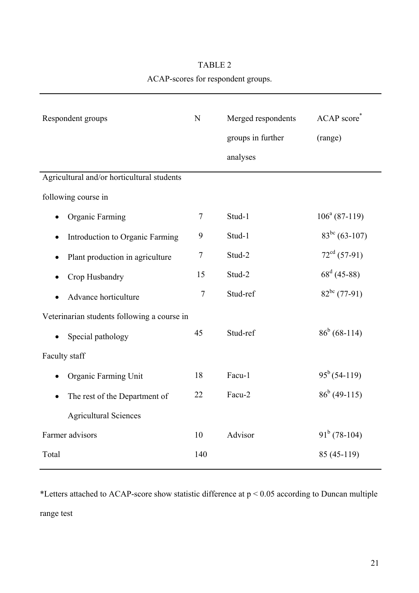# TABLE 2 ACAP-scores for respondent groups.

| Respondent groups                           | N              | Merged respondents | ACAP score*        |  |  |
|---------------------------------------------|----------------|--------------------|--------------------|--|--|
|                                             |                | groups in further  | (range)            |  |  |
|                                             |                | analyses           |                    |  |  |
| Agricultural and/or horticultural students  |                |                    |                    |  |  |
| following course in                         |                |                    |                    |  |  |
| Organic Farming                             | $\overline{7}$ | Stud-1             | $106^a (87-119)$   |  |  |
| Introduction to Organic Farming             | 9              | Stud-1             | $83^{bc}$ (63-107) |  |  |
| Plant production in agriculture             | $\tau$         | Stud-2             | $72cd$ (57-91)     |  |  |
| Crop Husbandry                              | 15             | Stud-2             | $68^d$ (45-88)     |  |  |
| Advance horticulture                        | $\overline{7}$ | Stud-ref           | $82^{bc}$ (77-91)  |  |  |
| Veterinarian students following a course in |                |                    |                    |  |  |
| Special pathology                           | 45             | Stud-ref           | $86^b (68-114)$    |  |  |
| Faculty staff                               |                |                    |                    |  |  |
| Organic Farming Unit                        | 18             | Facu-1             | $95^b(54-119)$     |  |  |
| The rest of the Department of               | 22             | Facu-2             | $86^b$ (49-115)    |  |  |
| <b>Agricultural Sciences</b>                |                |                    |                    |  |  |
| Farmer advisors                             | 10             | Advisor            | $91^b$ (78-104)    |  |  |
| Total                                       | 140            |                    | 85 (45-119)        |  |  |

\*Letters attached to ACAP-score show statistic difference at p < 0.05 according to Duncan multiple range test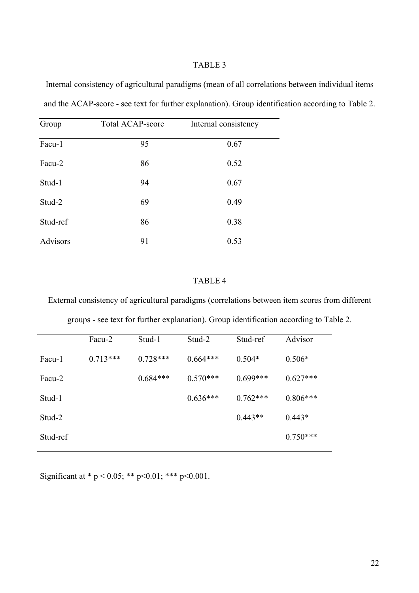# TABLE 3

Internal consistency of agricultural paradigms (mean of all correlations between individual items and the ACAP-score - see text for further explanation). Group identification according to Table 2.

| Group           | <b>Total ACAP-score</b> | Internal consistency |
|-----------------|-------------------------|----------------------|
| Facu-1          | 95                      | 0.67                 |
| Facu-2          | 86                      | 0.52                 |
| Stud-1          | 94                      | 0.67                 |
| Stud-2          | 69                      | 0.49                 |
| Stud-ref        | 86                      | 0.38                 |
| <b>Advisors</b> | 91                      | 0.53                 |

# TABLE 4

External consistency of agricultural paradigms (correlations between item scores from different

|  | groups - see text for further explanation). Group identification according to Table 2. |
|--|----------------------------------------------------------------------------------------|
|  |                                                                                        |

| Facu-2     | Stud-1     | Stud-2     | Stud-ref   | Advisor    |
|------------|------------|------------|------------|------------|
| $0.713***$ | $0.728***$ | $0.664***$ | $0.504*$   | $0.506*$   |
|            | $0.684***$ | $0.570***$ | $0.699***$ | $0.627***$ |
|            |            | $0.636***$ | $0.762***$ | $0.806***$ |
|            |            |            | $0.443**$  | $0.443*$   |
|            |            |            |            | $0.750***$ |
|            |            |            |            |            |

Significant at \* p < 0.05; \*\* p < 0.01; \*\*\* p < 0.001.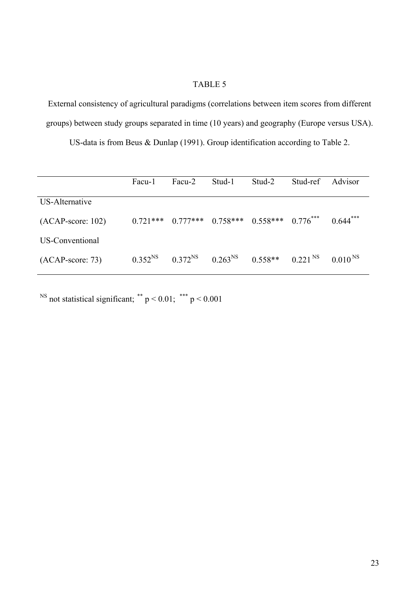# TABLE 5

External consistency of agricultural paradigms (correlations between item scores from different groups) between study groups separated in time (10 years) and geography (Europe versus USA).

US-data is from Beus & Dunlap (1991). Group identification according to Table 2.

|                     | Facu-1       | Facu-2       | Stud-1                                      | Stud-2               | Stud-ref | Advisor       |
|---------------------|--------------|--------------|---------------------------------------------|----------------------|----------|---------------|
| US-Alternative      |              |              |                                             |                      |          |               |
| $(ACAP-score: 102)$ | $0.721***$   |              | $0.777***$ $0.758***$ $0.558***$ $0.776***$ |                      |          | $0.644***$    |
| US-Conventional     |              |              |                                             |                      |          |               |
| $(ACAP-score: 73)$  | $0.352^{NS}$ | $0.372^{NS}$ | $0.263^{NS}$                                | $0.558**$ $0.221$ NS |          | $0.010^{N_S}$ |

<sup>NS</sup> not statistical significant; \*\*  $p < 0.01$ ; \*\*\*  $p < 0.001$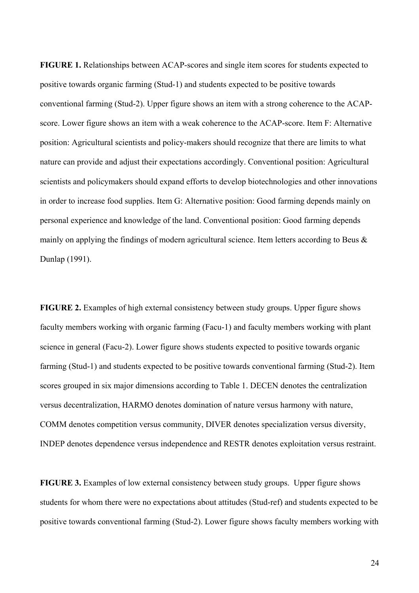**FIGURE 1.** Relationships between ACAP-scores and single item scores for students expected to positive towards organic farming (Stud-1) and students expected to be positive towards conventional farming (Stud-2). Upper figure shows an item with a strong coherence to the ACAPscore. Lower figure shows an item with a weak coherence to the ACAP-score. Item F: Alternative position: Agricultural scientists and policy-makers should recognize that there are limits to what nature can provide and adjust their expectations accordingly. Conventional position: Agricultural scientists and policymakers should expand efforts to develop biotechnologies and other innovations in order to increase food supplies. Item G: Alternative position: Good farming depends mainly on personal experience and knowledge of the land. Conventional position: Good farming depends mainly on applying the findings of modern agricultural science. Item letters according to Beus & Dunlap (1991).

**FIGURE 2.** Examples of high external consistency between study groups. Upper figure shows faculty members working with organic farming (Facu-1) and faculty members working with plant science in general (Facu-2). Lower figure shows students expected to positive towards organic farming (Stud-1) and students expected to be positive towards conventional farming (Stud-2). Item scores grouped in six major dimensions according to Table 1. DECEN denotes the centralization versus decentralization, HARMO denotes domination of nature versus harmony with nature, COMM denotes competition versus community, DIVER denotes specialization versus diversity, INDEP denotes dependence versus independence and RESTR denotes exploitation versus restraint.

**FIGURE 3.** Examples of low external consistency between study groups. Upper figure shows students for whom there were no expectations about attitudes (Stud-ref) and students expected to be positive towards conventional farming (Stud-2). Lower figure shows faculty members working with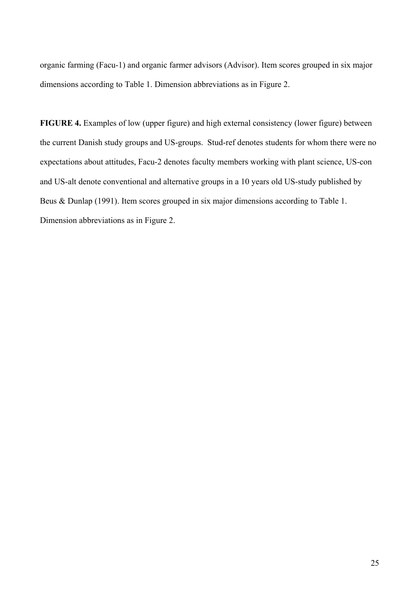organic farming (Facu-1) and organic farmer advisors (Advisor). Item scores grouped in six major dimensions according to Table 1. Dimension abbreviations as in Figure 2.

**FIGURE 4.** Examples of low (upper figure) and high external consistency (lower figure) between the current Danish study groups and US-groups. Stud-ref denotes students for whom there were no expectations about attitudes, Facu-2 denotes faculty members working with plant science, US-con and US-alt denote conventional and alternative groups in a 10 years old US-study published by Beus & Dunlap (1991). Item scores grouped in six major dimensions according to Table 1. Dimension abbreviations as in Figure 2.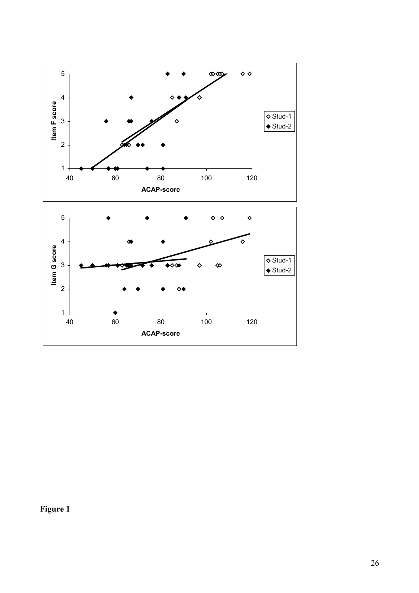

**Figure 1**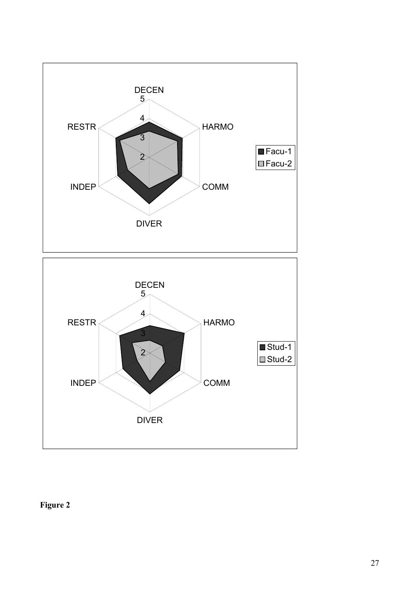

**Figure 2**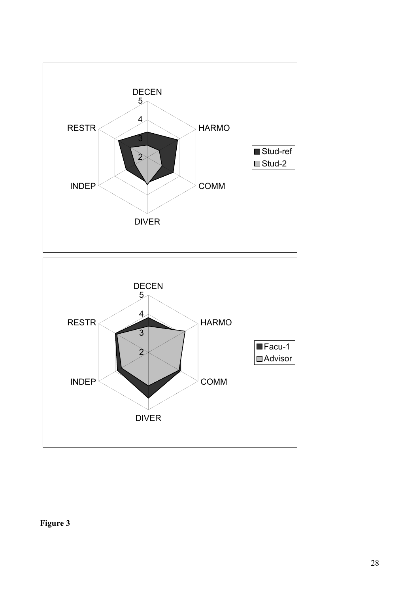

# **Figure 3**